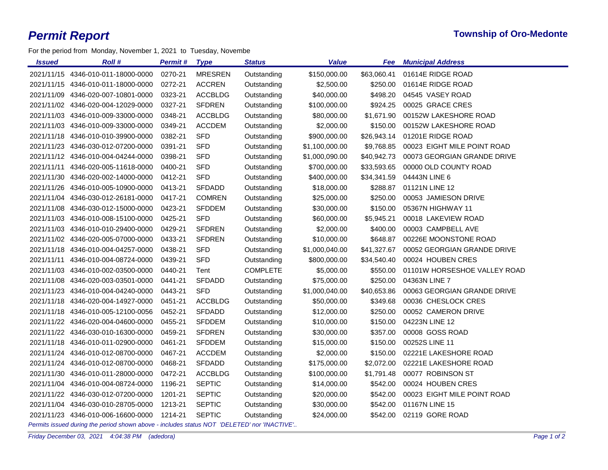For the period from Monday, November 1, 2021 to Tuesday, Novembe

| <b>Issued</b> | <b>Roll</b> #                      | <b>Permit # Type</b> |                | <b>Status</b>   | <b>Value</b>   | Fee         | <b>Municipal Address</b>     |
|---------------|------------------------------------|----------------------|----------------|-----------------|----------------|-------------|------------------------------|
|               | 2021/11/15 4346-010-011-18000-0000 | 0270-21              | <b>MRESREN</b> | Outstanding     | \$150,000.00   | \$63,060.41 | 01614E RIDGE ROAD            |
|               | 2021/11/15 4346-010-011-18000-0000 | 0272-21              | <b>ACCREN</b>  | Outstanding     | \$2,500.00     | \$250.00    | 01614E RIDGE ROAD            |
| 2021/11/09    | 4346-020-007-10801-0000            | 0323-21              | <b>ACCBLDG</b> | Outstanding     | \$40,000.00    | \$498.20    | 04545 VASEY ROAD             |
|               | 2021/11/02 4346-020-004-12029-0000 | 0327-21              | SFDREN         | Outstanding     | \$100,000.00   | \$924.25    | 00025 GRACE CRES             |
|               | 2021/11/03 4346-010-009-33000-0000 | 0348-21              | <b>ACCBLDG</b> | Outstanding     | \$80,000.00    | \$1,671.90  | 00152W LAKESHORE ROAD        |
|               | 2021/11/03 4346-010-009-33000-0000 | 0349-21              | ACCDEM         | Outstanding     | \$2,000.00     | \$150.00    | 00152W LAKESHORE ROAD        |
|               | 2021/11/18 4346-010-010-39900-0000 | 0382-21              | <b>SFD</b>     | Outstanding     | \$900,000.00   | \$26,943.14 | 01201E RIDGE ROAD            |
|               | 2021/11/23 4346-030-012-07200-0000 | 0391-21              | <b>SFD</b>     | Outstanding     | \$1,100,000.00 | \$9,768.85  | 00023 EIGHT MILE POINT ROAD  |
|               | 2021/11/12 4346-010-004-04244-0000 | 0398-21              | <b>SFD</b>     | Outstanding     | \$1,000,090.00 | \$40,942.73 | 00073 GEORGIAN GRANDE DRIVE  |
|               | 2021/11/11 4346-020-005-11618-0000 | 0400-21              | <b>SFD</b>     | Outstanding     | \$700,000.00   | \$33,593.65 | 00000 OLD COUNTY ROAD        |
|               | 2021/11/30 4346-020-002-14000-0000 | 0412-21              | <b>SFD</b>     | Outstanding     | \$400,000.00   | \$34,341.59 | 04443N LINE 6                |
|               | 2021/11/26 4346-010-005-10900-0000 | 0413-21              | <b>SFDADD</b>  | Outstanding     | \$18,000.00    | \$288.87    | 01121N LINE 12               |
|               | 2021/11/04 4346-030-012-26181-0000 | 0417-21              | <b>COMREN</b>  | Outstanding     | \$25,000.00    | \$250.00    | 00053 JAMIESON DRIVE         |
|               | 2021/11/08 4346-030-012-15000-0000 | 0423-21              | <b>SFDDEM</b>  | Outstanding     | \$30,000.00    | \$150.00    | 05367N HIGHWAY 11            |
|               | 2021/11/03 4346-010-008-15100-0000 | 0425-21              | <b>SFD</b>     | Outstanding     | \$60,000.00    | \$5,945.21  | 00018 LAKEVIEW ROAD          |
|               | 2021/11/03 4346-010-010-29400-0000 | 0429-21              | <b>SFDREN</b>  | Outstanding     | \$2,000.00     | \$400.00    | 00003 CAMPBELL AVE           |
|               | 2021/11/02 4346-020-005-07000-0000 | 0433-21              | <b>SFDREN</b>  | Outstanding     | \$10,000.00    | \$648.87    | 00226E MOONSTONE ROAD        |
|               | 2021/11/18 4346-010-004-04257-0000 | 0438-21              | SFD            | Outstanding     | \$1,000,040.00 | \$41,327.67 | 00052 GEORGIAN GRANDE DRIVE  |
| 2021/11/11    | 4346-010-004-08724-0000            | 0439-21              | <b>SFD</b>     | Outstanding     | \$800,000.00   | \$34,540.40 | 00024 HOUBEN CRES            |
| 2021/11/03    | 4346-010-002-03500-0000            | 0440-21              | Tent           | <b>COMPLETE</b> | \$5,000.00     | \$550.00    | 01101W HORSESHOE VALLEY ROAD |
| 2021/11/08    | 4346-020-003-03501-0000            | 0441-21              | <b>SFDADD</b>  | Outstanding     | \$75,000.00    | \$250.00    | 04363N LINE 7                |
|               | 2021/11/23 4346-010-004-04240-0000 | 0443-21              | <b>SFD</b>     | Outstanding     | \$1,000,040.00 | \$40,653.86 | 00063 GEORGIAN GRANDE DRIVE  |
|               | 2021/11/18 4346-020-004-14927-0000 | 0451-21              | <b>ACCBLDG</b> | Outstanding     | \$50,000.00    | \$349.68    | 00036 CHESLOCK CRES          |
| 2021/11/18    | 4346-010-005-12100-0056            | 0452-21              | <b>SFDADD</b>  | Outstanding     | \$12,000.00    | \$250.00    | 00052 CAMERON DRIVE          |
|               | 2021/11/22 4346-020-004-04600-0000 | 0455-21              | <b>SFDDEM</b>  | Outstanding     | \$10,000.00    | \$150.00    | 04223N LINE 12               |
|               | 2021/11/22 4346-030-010-16300-0000 | 0459-21              | <b>SFDREN</b>  | Outstanding     | \$30,000.00    | \$357.00    | 00008 GOSS ROAD              |
|               | 2021/11/18 4346-010-011-02900-0000 | 0461-21              | <b>SFDDEM</b>  | Outstanding     | \$15,000.00    | \$150.00    | 00252S LINE 11               |
|               | 2021/11/24 4346-010-012-08700-0000 | 0467-21              | ACCDEM         | Outstanding     | \$2,000.00     | \$150.00    | 02221E LAKESHORE ROAD        |
|               | 2021/11/24 4346-010-012-08700-0000 | 0468-21              | SFDADD         | Outstanding     | \$175,000.00   | \$2,072.00  | 02221E LAKESHORE ROAD        |
|               | 2021/11/30 4346-010-011-28000-0000 | 0472-21              | <b>ACCBLDG</b> | Outstanding     | \$100,000.00   | \$1,791.48  | 00077 ROBINSON ST            |
|               | 2021/11/04 4346-010-004-08724-0000 | 1196-21              | <b>SEPTIC</b>  | Outstanding     | \$14,000.00    | \$542.00    | 00024 HOUBEN CRES            |
|               | 2021/11/22 4346-030-012-07200-0000 | 1201-21              | <b>SEPTIC</b>  | Outstanding     | \$20,000.00    | \$542.00    | 00023 EIGHT MILE POINT ROAD  |
|               | 2021/11/04 4346-030-010-28705-0000 | 1213-21              | <b>SEPTIC</b>  | Outstanding     | \$30,000.00    | \$542.00    | 01167N LINE 15               |
|               | 2021/11/23 4346-010-006-16600-0000 | 1214-21              | <b>SEPTIC</b>  | Outstanding     | \$24,000.00    | \$542.00    | 02119 GORE ROAD              |

*Permits issued during the period shown above - includes status NOT 'DELETED' nor 'INACTIVE'..*

*Friday December 03, 2021 4:04:38 PM (adedora) Page 1 of 2*